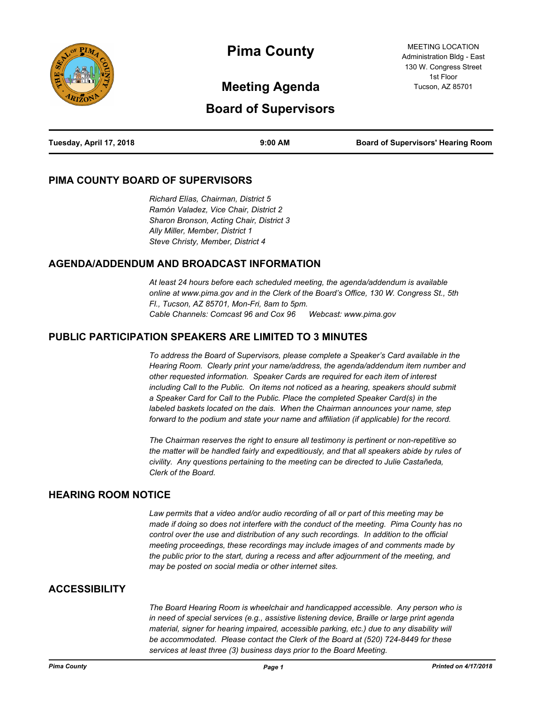

# **Pima County**

MEETING LOCATION Administration Bldg - East 130 W. Congress Street 1st Floor Tucson, AZ 85701

# **Meeting Agenda**

# **Board of Supervisors**

| Tuesday, April 17, 2018 | $9:00$ AM | <b>Board of Supervisors' Hearing Room</b> |
|-------------------------|-----------|-------------------------------------------|
|                         |           |                                           |

#### **PIMA COUNTY BOARD OF SUPERVISORS**

*Richard Elías, Chairman, District 5 Ramón Valadez, Vice Chair, District 2 Sharon Bronson, Acting Chair, District 3 Ally Miller, Member, District 1 Steve Christy, Member, District 4*

#### **AGENDA/ADDENDUM AND BROADCAST INFORMATION**

*At least 24 hours before each scheduled meeting, the agenda/addendum is available online at www.pima.gov and in the Clerk of the Board's Office, 130 W. Congress St., 5th Fl., Tucson, AZ 85701, Mon-Fri, 8am to 5pm. Cable Channels: Comcast 96 and Cox 96 Webcast: www.pima.gov*

#### **PUBLIC PARTICIPATION SPEAKERS ARE LIMITED TO 3 MINUTES**

*To address the Board of Supervisors, please complete a Speaker's Card available in the Hearing Room. Clearly print your name/address, the agenda/addendum item number and other requested information. Speaker Cards are required for each item of interest including Call to the Public. On items not noticed as a hearing, speakers should submit a Speaker Card for Call to the Public. Place the completed Speaker Card(s) in the labeled baskets located on the dais. When the Chairman announces your name, step forward to the podium and state your name and affiliation (if applicable) for the record.* 

*The Chairman reserves the right to ensure all testimony is pertinent or non-repetitive so the matter will be handled fairly and expeditiously, and that all speakers abide by rules of civility. Any questions pertaining to the meeting can be directed to Julie Castañeda, Clerk of the Board.*

#### **HEARING ROOM NOTICE**

*Law permits that a video and/or audio recording of all or part of this meeting may be made if doing so does not interfere with the conduct of the meeting. Pima County has no control over the use and distribution of any such recordings. In addition to the official meeting proceedings, these recordings may include images of and comments made by the public prior to the start, during a recess and after adjournment of the meeting, and may be posted on social media or other internet sites.*

#### **ACCESSIBILITY**

*The Board Hearing Room is wheelchair and handicapped accessible. Any person who is in need of special services (e.g., assistive listening device, Braille or large print agenda material, signer for hearing impaired, accessible parking, etc.) due to any disability will be accommodated. Please contact the Clerk of the Board at (520) 724-8449 for these services at least three (3) business days prior to the Board Meeting.*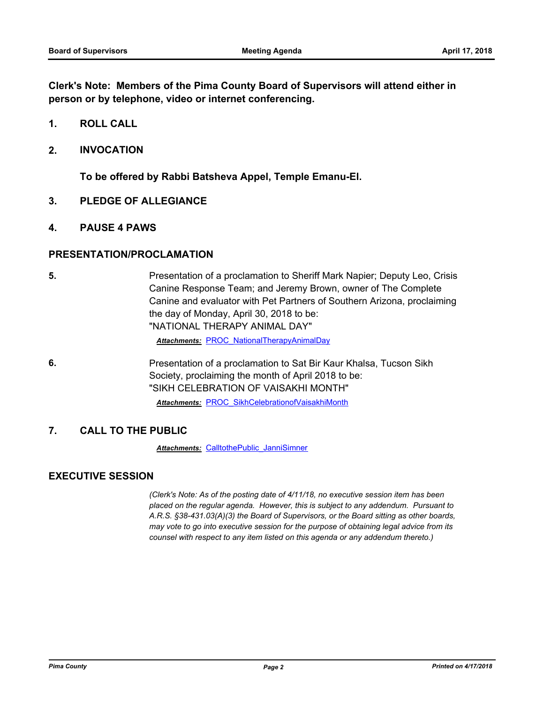**Clerk's Note: Members of the Pima County Board of Supervisors will attend either in person or by telephone, video or internet conferencing.**

- **1. ROLL CALL**
- **2. INVOCATION**

**To be offered by Rabbi Batsheva Appel, Temple Emanu-El.**

- **3. PLEDGE OF ALLEGIANCE**
- **4. PAUSE 4 PAWS**

#### **PRESENTATION/PROCLAMATION**

**5.** Presentation of a proclamation to Sheriff Mark Napier; Deputy Leo, Crisis Canine Response Team; and Jeremy Brown, owner of The Complete Canine and evaluator with Pet Partners of Southern Arizona, proclaiming the day of Monday, April 30, 2018 to be: "NATIONAL THERAPY ANIMAL DAY"

*Attachments:* [PROC\\_NationalTherapyAnimalDay](http://pima.legistar.com/gateway.aspx?M=F&ID=42abc275-7bc8-4ec6-9411-5ab1d3d42828.pdf)

**6.** Presentation of a proclamation to Sat Bir Kaur Khalsa, Tucson Sikh Society, proclaiming the month of April 2018 to be: "SIKH CELEBRATION OF VAISAKHI MONTH" *Attachments:* [PROC\\_SikhCelebrationofVaisakhiMonth](http://pima.legistar.com/gateway.aspx?M=F&ID=614d1829-6c38-499c-b626-49d1c489e30b.pdf)

#### **7. CALL TO THE PUBLIC**

**Attachments: CalltothePublic JanniSimner** 

#### **EXECUTIVE SESSION**

*(Clerk's Note: As of the posting date of 4/11/18, no executive session item has been placed on the regular agenda. However, this is subject to any addendum. Pursuant to A.R.S. §38-431.03(A)(3) the Board of Supervisors, or the Board sitting as other boards, may vote to go into executive session for the purpose of obtaining legal advice from its counsel with respect to any item listed on this agenda or any addendum thereto.)*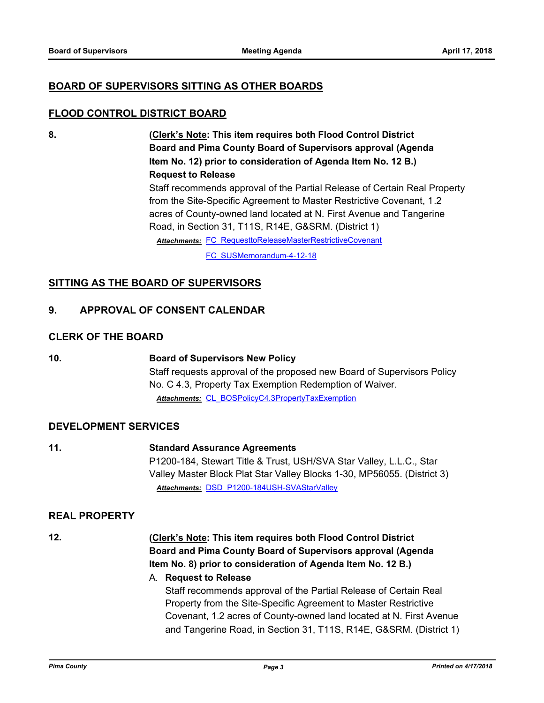#### **BOARD OF SUPERVISORS SITTING AS OTHER BOARDS**

#### **FLOOD CONTROL DISTRICT BOARD**

**8. (Clerk's Note: This item requires both Flood Control District Board and Pima County Board of Supervisors approval (Agenda Item No. 12) prior to consideration of Agenda Item No. 12 B.) Request to Release**

> Staff recommends approval of the Partial Release of Certain Real Property from the Site-Specific Agreement to Master Restrictive Covenant, 1.2 acres of County-owned land located at N. First Avenue and Tangerine Road, in Section 31, T11S, R14E, G&SRM. (District 1)

Attachments: FC RequesttoReleaseMasterRestrictiveCovenant

[FC\\_SUSMemorandum-4-12-18](http://pima.legistar.com/gateway.aspx?M=F&ID=d34b05d9-4d02-453b-9212-cbe1894cf411.pdf)

#### **SITTING AS THE BOARD OF SUPERVISORS**

#### **9. APPROVAL OF CONSENT CALENDAR**

#### **CLERK OF THE BOARD**

**10. Board of Supervisors New Policy** Staff requests approval of the proposed new Board of Supervisors Policy No. C 4.3, Property Tax Exemption Redemption of Waiver. *Attachments:* [CL\\_BOSPolicyC4.3PropertyTaxExemption](http://pima.legistar.com/gateway.aspx?M=F&ID=48ce0d32-6aae-472d-95a8-af90ecebf4c9.pdf)

#### **DEVELOPMENT SERVICES**

**11. Standard Assurance Agreements** P1200-184, Stewart Title & Trust, USH/SVA Star Valley, L.L.C., Star Valley Master Block Plat Star Valley Blocks 1-30, MP56055. (District 3) *Attachments:* [DSD\\_P1200-184USH-SVAStarValley](http://pima.legistar.com/gateway.aspx?M=F&ID=0ae4852b-6075-4cd2-bfa7-7fd454ec7996.pdf)

#### **REAL PROPERTY**

#### **12. (Clerk's Note: This item requires both Flood Control District Board and Pima County Board of Supervisors approval (Agenda Item No. 8) prior to consideration of Agenda Item No. 12 B.)**

# A. **Request to Release** Staff recommends approval of the Partial Release of Certain Real

Property from the Site-Specific Agreement to Master Restrictive Covenant, 1.2 acres of County-owned land located at N. First Avenue and Tangerine Road, in Section 31, T11S, R14E, G&SRM. (District 1)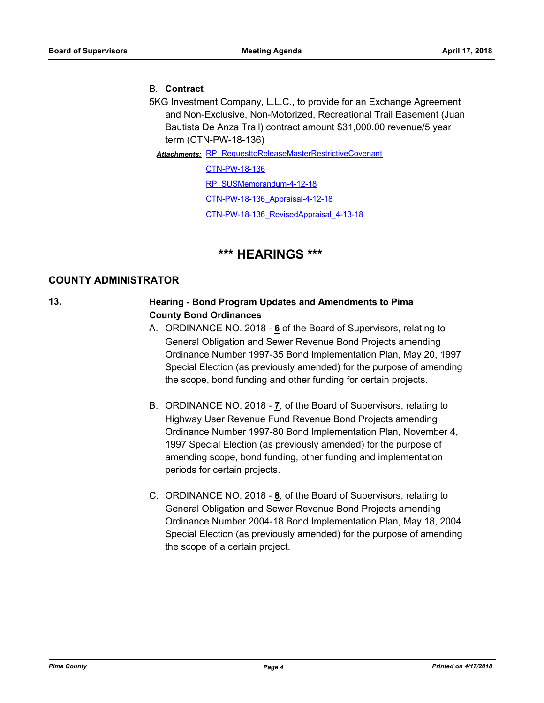#### B. **Contract**

5KG Investment Company, L.L.C., to provide for an Exchange Agreement and Non-Exclusive, Non-Motorized, Recreational Trail Easement (Juan Bautista De Anza Trail) contract amount \$31,000.00 revenue/5 year term (CTN-PW-18-136)

Attachments: RP RequesttoReleaseMasterRestrictiveCovenant

[CTN-PW-18-136](http://pima.legistar.com/gateway.aspx?M=F&ID=f1fb9f17-b70c-4e1a-9514-e29a0643508f.pdf) [RP\\_SUSMemorandum-4-12-18](http://pima.legistar.com/gateway.aspx?M=F&ID=12ba3730-e373-472b-a25d-7d05206da158.pdf) [CTN-PW-18-136\\_Appraisal-4-12-18](http://pima.legistar.com/gateway.aspx?M=F&ID=638412d7-4513-4580-abc6-a81b3ad135b4.pdf) [CTN-PW-18-136\\_RevisedAppraisal\\_4-13-18](http://pima.legistar.com/gateway.aspx?M=F&ID=3b64ef08-46f3-4b8f-bef1-5e75f45185c0.pdf)

## **\*\*\* HEARINGS \*\*\***

#### **COUNTY ADMINISTRATOR**

#### **13. Hearing - Bond Program Updates and Amendments to Pima County Bond Ordinances**

- A. ORDINANCE NO. 2018 **6** of the Board of Supervisors, relating to General Obligation and Sewer Revenue Bond Projects amending Ordinance Number 1997-35 Bond Implementation Plan, May 20, 1997 Special Election (as previously amended) for the purpose of amending the scope, bond funding and other funding for certain projects.
- B. ORDINANCE NO. 2018 **7**, of the Board of Supervisors, relating to Highway User Revenue Fund Revenue Bond Projects amending Ordinance Number 1997-80 Bond Implementation Plan, November 4, 1997 Special Election (as previously amended) for the purpose of amending scope, bond funding, other funding and implementation periods for certain projects.
- C. ORDINANCE NO. 2018 **8**, of the Board of Supervisors, relating to General Obligation and Sewer Revenue Bond Projects amending Ordinance Number 2004-18 Bond Implementation Plan, May 18, 2004 Special Election (as previously amended) for the purpose of amending the scope of a certain project.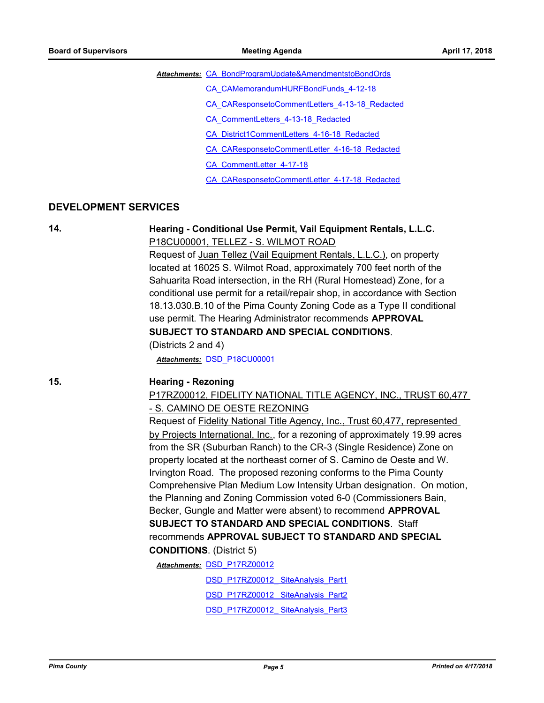Attachments: CA BondProgramUpdate&AmendmentstoBondOrds

- [CA\\_CAMemorandumHURFBondFunds\\_4-12-18](http://pima.legistar.com/gateway.aspx?M=F&ID=921660ab-c3d5-4117-b364-e85a53d47a92.pdf)
- [CA\\_CAResponsetoCommentLetters\\_4-13-18\\_Redacted](http://pima.legistar.com/gateway.aspx?M=F&ID=09ad471a-1cb5-4c8c-b4c1-d0f712d80786.pdf)
- [CA\\_CommentLetters\\_4-13-18\\_Redacted](http://pima.legistar.com/gateway.aspx?M=F&ID=cf51bee2-df2c-432a-ade7-882910b0cd42.pdf)
- [CA\\_District1CommentLetters\\_4-16-18\\_Redacted](http://pima.legistar.com/gateway.aspx?M=F&ID=873f0942-0c88-44f3-aed1-b0537a9f8c30.pdf)
- [CA\\_CAResponsetoCommentLetter\\_4-16-18\\_Redacted](http://pima.legistar.com/gateway.aspx?M=F&ID=a08b9dea-4e5e-44a1-bec3-a4fa0c5bb07e.pdf)
- [CA\\_CommentLetter\\_4-17-18](http://pima.legistar.com/gateway.aspx?M=F&ID=7953becc-2cc0-43ac-9993-671d260b54f6.pdf)

[CA\\_CAResponsetoCommentLetter\\_4-17-18\\_Redacted](http://pima.legistar.com/gateway.aspx?M=F&ID=da06a767-8d1d-40f1-98ac-4656edae0988.pdf)

#### **DEVELOPMENT SERVICES**

#### **14. Hearing - Conditional Use Permit, Vail Equipment Rentals, L.L.C.** P18CU00001, TELLEZ - S. WILMOT ROAD

Request of Juan Tellez (Vail Equipment Rentals, L.L.C.), on property located at 16025 S. Wilmot Road, approximately 700 feet north of the Sahuarita Road intersection, in the RH (Rural Homestead) Zone, for a conditional use permit for a retail/repair shop, in accordance with Section 18.13.030.B.10 of the Pima County Zoning Code as a Type II conditional use permit. The Hearing Administrator recommends **APPROVAL SUBJECT TO STANDARD AND SPECIAL CONDITIONS**.

(Districts 2 and 4)

*Attachments:* [DSD\\_P18CU00001](http://pima.legistar.com/gateway.aspx?M=F&ID=b7bf7a7e-2852-441e-99ce-2648d502eba0.pdf)

#### **15. Hearing - Rezoning**

#### P17RZ00012, FIDELITY NATIONAL TITLE AGENCY, INC., TRUST 60,477 - S. CAMINO DE OESTE REZONING

Request of Fidelity National Title Agency, Inc., Trust 60,477, represented by Projects International, Inc., for a rezoning of approximately 19.99 acres from the SR (Suburban Ranch) to the CR-3 (Single Residence) Zone on property located at the northeast corner of S. Camino de Oeste and W. Irvington Road. The proposed rezoning conforms to the Pima County Comprehensive Plan Medium Low Intensity Urban designation. On motion, the Planning and Zoning Commission voted 6-0 (Commissioners Bain, Becker, Gungle and Matter were absent) to recommend **APPROVAL SUBJECT TO STANDARD AND SPECIAL CONDITIONS**. Staff recommends **APPROVAL SUBJECT TO STANDARD AND SPECIAL CONDITIONS**. (District 5)

**Attachments: DSD P17RZ00012** 

DSD\_P17RZ00012\_SiteAnalysis\_Part1

DSD\_P17RZ00012\_SiteAnalysis\_Part2

DSD\_P17RZ00012\_SiteAnalysis\_Part3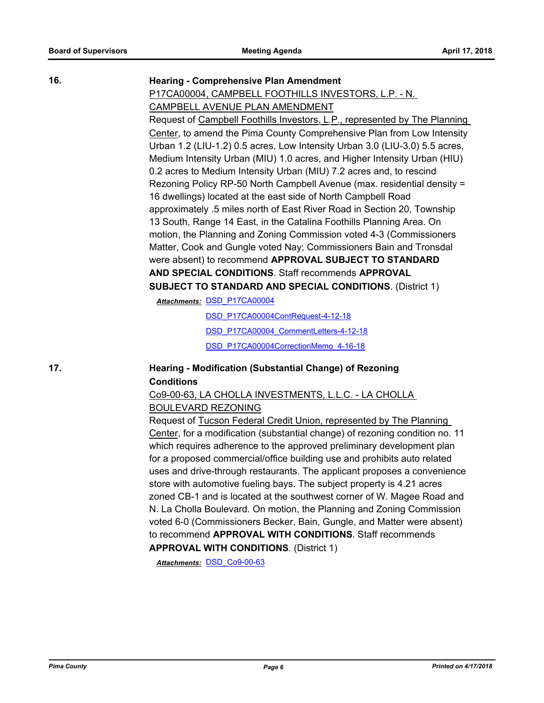P17CA00004, CAMPBELL FOOTHILLS INVESTORS, L.P. - N.

#### **16. Hearing - Comprehensive Plan Amendment**

CAMPBELL AVENUE PLAN AMENDMENT Request of Campbell Foothills Investors, L.P., represented by The Planning Center, to amend the Pima County Comprehensive Plan from Low Intensity Urban 1.2 (LIU-1.2) 0.5 acres, Low Intensity Urban 3.0 (LIU-3.0) 5.5 acres, Medium Intensity Urban (MIU) 1.0 acres, and Higher Intensity Urban (HIU) 0.2 acres to Medium Intensity Urban (MIU) 7.2 acres and, to rescind Rezoning Policy RP-50 North Campbell Avenue (max. residential density = 16 dwellings) located at the east side of North Campbell Road approximately .5 miles north of East River Road in Section 20, Township 13 South, Range 14 East, in the Catalina Foothills Planning Area. On motion, the Planning and Zoning Commission voted 4-3 (Commissioners Matter, Cook and Gungle voted Nay; Commissioners Bain and Tronsdal were absent) to recommend **APPROVAL SUBJECT TO STANDARD AND SPECIAL CONDITIONS**. Staff recommends **APPROVAL SUBJECT TO STANDARD AND SPECIAL CONDITIONS**. (District 1)

Attachments: **DSD P17CA00004** 

[DSD\\_P17CA00004ContRequest-4-12-18](http://pima.legistar.com/gateway.aspx?M=F&ID=e7b09524-635a-4245-a300-a3f9b345533b.pdf) [DSD\\_P17CA00004\\_CommentLetters-4-12-18](http://pima.legistar.com/gateway.aspx?M=F&ID=bb5c575a-a607-4a15-bf82-6e2543c96144.pdf) [DSD\\_P17CA00004CorrectionMemo\\_4-16-18](http://pima.legistar.com/gateway.aspx?M=F&ID=a4c60617-0996-4fb9-afde-834e247377f3.pdf)

#### **17. Hearing - Modification (Substantial Change) of Rezoning Conditions**

#### Co9-00-63, LA CHOLLA INVESTMENTS, L.L.C. - LA CHOLLA BOULEVARD REZONING

Request of Tucson Federal Credit Union, represented by The Planning Center, for a modification (substantial change) of rezoning condition no. 11 which requires adherence to the approved preliminary development plan for a proposed commercial/office building use and prohibits auto related uses and drive-through restaurants. The applicant proposes a convenience store with automotive fueling bays. The subject property is 4.21 acres zoned CB-1 and is located at the southwest corner of W. Magee Road and N. La Cholla Boulevard. On motion, the Planning and Zoning Commission voted 6-0 (Commissioners Becker, Bain, Gungle, and Matter were absent) to recommend **APPROVAL WITH CONDITIONS**. Staff recommends **APPROVAL WITH CONDITIONS**. (District 1)

*Attachments:* [DSD\\_Co9-00-63](http://pima.legistar.com/gateway.aspx?M=F&ID=7763232a-0bd6-4f4c-bfbd-fc66283c05fd.pdf)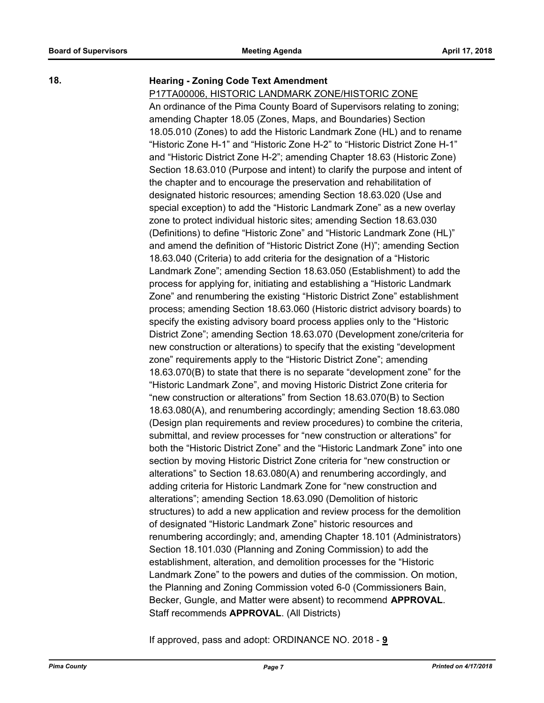#### **18. Hearing - Zoning Code Text Amendment**

#### P17TA00006, HISTORIC LANDMARK ZONE/HISTORIC ZONE

An ordinance of the Pima County Board of Supervisors relating to zoning; amending Chapter 18.05 (Zones, Maps, and Boundaries) Section 18.05.010 (Zones) to add the Historic Landmark Zone (HL) and to rename "Historic Zone H-1" and "Historic Zone H-2" to "Historic District Zone H-1" and "Historic District Zone H-2"; amending Chapter 18.63 (Historic Zone) Section 18.63.010 (Purpose and intent) to clarify the purpose and intent of the chapter and to encourage the preservation and rehabilitation of designated historic resources; amending Section 18.63.020 (Use and special exception) to add the "Historic Landmark Zone" as a new overlay zone to protect individual historic sites; amending Section 18.63.030 (Definitions) to define "Historic Zone" and "Historic Landmark Zone (HL)" and amend the definition of "Historic District Zone (H)"; amending Section 18.63.040 (Criteria) to add criteria for the designation of a "Historic Landmark Zone"; amending Section 18.63.050 (Establishment) to add the process for applying for, initiating and establishing a "Historic Landmark Zone" and renumbering the existing "Historic District Zone" establishment process; amending Section 18.63.060 (Historic district advisory boards) to specify the existing advisory board process applies only to the "Historic District Zone"; amending Section 18.63.070 (Development zone/criteria for new construction or alterations) to specify that the existing "development zone" requirements apply to the "Historic District Zone"; amending 18.63.070(B) to state that there is no separate "development zone" for the "Historic Landmark Zone", and moving Historic District Zone criteria for "new construction or alterations" from Section 18.63.070(B) to Section 18.63.080(A), and renumbering accordingly; amending Section 18.63.080 (Design plan requirements and review procedures) to combine the criteria, submittal, and review processes for "new construction or alterations" for both the "Historic District Zone" and the "Historic Landmark Zone" into one section by moving Historic District Zone criteria for "new construction or alterations" to Section 18.63.080(A) and renumbering accordingly, and adding criteria for Historic Landmark Zone for "new construction and alterations"; amending Section 18.63.090 (Demolition of historic structures) to add a new application and review process for the demolition of designated "Historic Landmark Zone" historic resources and renumbering accordingly; and, amending Chapter 18.101 (Administrators) Section 18.101.030 (Planning and Zoning Commission) to add the establishment, alteration, and demolition processes for the "Historic Landmark Zone" to the powers and duties of the commission. On motion, the Planning and Zoning Commission voted 6-0 (Commissioners Bain, Becker, Gungle, and Matter were absent) to recommend **APPROVAL**. Staff recommends **APPROVAL**. (All Districts)

If approved, pass and adopt: ORDINANCE NO. 2018 - **9**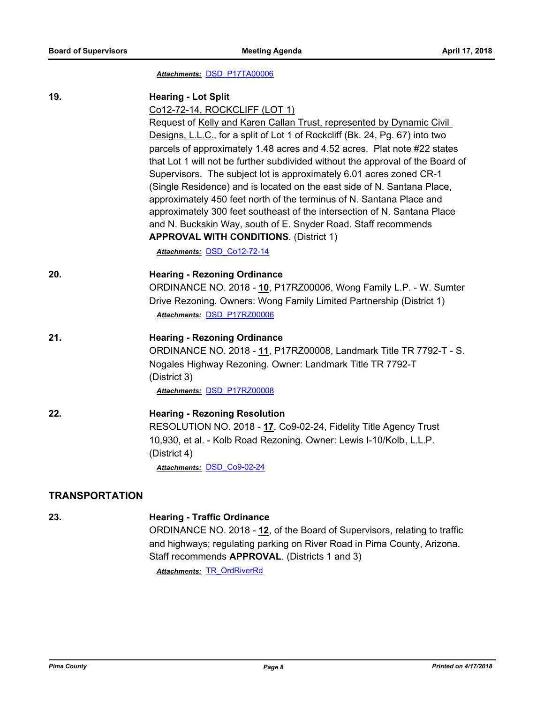#### *Attachments:* [DSD\\_P17TA00006](http://pima.legistar.com/gateway.aspx?M=F&ID=e4cb100e-c19e-4665-8636-043b3c757a59.pdf)

| 19.                   | <b>Hearing - Lot Split</b>                                                     |
|-----------------------|--------------------------------------------------------------------------------|
|                       | Co12-72-14, ROCKCLIFF (LOT 1)                                                  |
|                       | Request of Kelly and Karen Callan Trust, represented by Dynamic Civil          |
|                       | Designs, L.L.C., for a split of Lot 1 of Rockcliff (Bk. 24, Pg. 67) into two   |
|                       | parcels of approximately 1.48 acres and 4.52 acres. Plat note #22 states       |
|                       | that Lot 1 will not be further subdivided without the approval of the Board of |
|                       | Supervisors. The subject lot is approximately 6.01 acres zoned CR-1            |
|                       | (Single Residence) and is located on the east side of N. Santana Place,        |
|                       | approximately 450 feet north of the terminus of N. Santana Place and           |
|                       | approximately 300 feet southeast of the intersection of N. Santana Place       |
|                       | and N. Buckskin Way, south of E. Snyder Road. Staff recommends                 |
|                       | <b>APPROVAL WITH CONDITIONS. (District 1)</b>                                  |
|                       | Attachments: DSD Co12-72-14                                                    |
| 20.                   | <b>Hearing - Rezoning Ordinance</b>                                            |
|                       | ORDINANCE NO. 2018 - 10, P17RZ00006, Wong Family L.P. - W. Sumter              |
|                       | Drive Rezoning. Owners: Wong Family Limited Partnership (District 1)           |
|                       | Attachments: DSD P17RZ00006                                                    |
| 21.                   | <b>Hearing - Rezoning Ordinance</b>                                            |
|                       | ORDINANCE NO. 2018 - 11, P17RZ00008, Landmark Title TR 7792-T - S.             |
|                       | Nogales Highway Rezoning. Owner: Landmark Title TR 7792-T                      |
|                       | (District 3)                                                                   |
|                       | Attachments: DSD P17RZ00008                                                    |
| 22.                   | <b>Hearing - Rezoning Resolution</b>                                           |
|                       | RESOLUTION NO. 2018 - 17, Co9-02-24, Fidelity Title Agency Trust               |
|                       | 10,930, et al. - Kolb Road Rezoning. Owner: Lewis I-10/Kolb, L.L.P.            |
|                       | (District 4)                                                                   |
|                       | Attachments: DSD Co9-02-24                                                     |
| <b>TRANSPORTATION</b> |                                                                                |
|                       |                                                                                |

**23. Hearing - Traffic Ordinance** ORDINANCE NO. 2018 - **12**, of the Board of Supervisors, relating to traffic and highways; regulating parking on River Road in Pima County, Arizona. Staff recommends **APPROVAL**. (Districts 1 and 3)

*Attachments:* [TR\\_OrdRiverRd](http://pima.legistar.com/gateway.aspx?M=F&ID=5655e9bd-888d-431c-bbc4-c53f45f95bc0.pdf)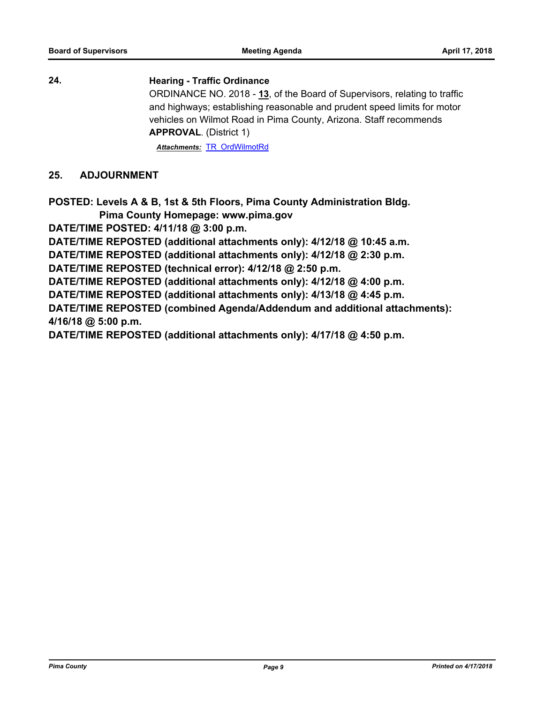**24. Hearing - Traffic Ordinance**

ORDINANCE NO. 2018 - **13**, of the Board of Supervisors, relating to traffic and highways; establishing reasonable and prudent speed limits for motor vehicles on Wilmot Road in Pima County, Arizona. Staff recommends **APPROVAL**. (District 1)

*Attachments:* [TR\\_OrdWilmotRd](http://pima.legistar.com/gateway.aspx?M=F&ID=729d2f34-55ae-4a68-9da1-0d7d7fd0e915.pdf)

#### **25. ADJOURNMENT**

**POSTED: Levels A & B, 1st & 5th Floors, Pima County Administration Bldg.**

 **Pima County Homepage: www.pima.gov**

**DATE/TIME POSTED: 4/11/18 @ 3:00 p.m.**

**DATE/TIME REPOSTED (additional attachments only): 4/12/18 @ 10:45 a.m.**

**DATE/TIME REPOSTED (additional attachments only): 4/12/18 @ 2:30 p.m.**

**DATE/TIME REPOSTED (technical error): 4/12/18 @ 2:50 p.m.**

**DATE/TIME REPOSTED (additional attachments only): 4/12/18 @ 4:00 p.m.**

**DATE/TIME REPOSTED (additional attachments only): 4/13/18 @ 4:45 p.m.**

**DATE/TIME REPOSTED (combined Agenda/Addendum and additional attachments): 4/16/18 @ 5:00 p.m.**

**DATE/TIME REPOSTED (additional attachments only): 4/17/18 @ 4:50 p.m.**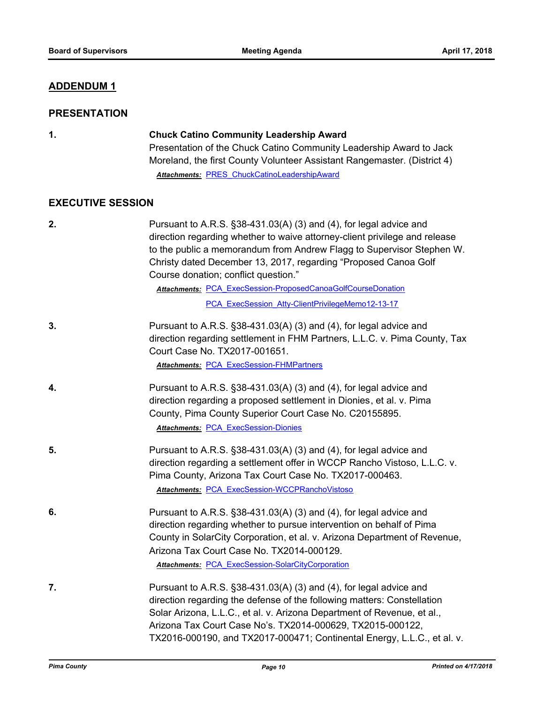#### **ADDENDUM 1**

#### **PRESENTATION**

#### **1. Chuck Catino Community Leadership Award**

Presentation of the Chuck Catino Community Leadership Award to Jack Moreland, the first County Volunteer Assistant Rangemaster. (District 4) *Attachments:* [PRES\\_ChuckCatinoLeadershipAward](http://pima.legistar.com/gateway.aspx?M=F&ID=ed0d9985-2816-4919-a553-5325bf9cb3c9.pdf)

#### **EXECUTIVE SESSION**

| 2. | Pursuant to A.R.S. §38-431.03(A) (3) and (4), for legal advice and<br>direction regarding whether to waive attorney-client privilege and release<br>to the public a memorandum from Andrew Flagg to Supervisor Stephen W.<br>Christy dated December 13, 2017, regarding "Proposed Canoa Golf<br>Course donation; conflict question."<br>Attachments: PCA ExecSession-ProposedCanoaGolfCourseDonation<br>PCA ExecSession Atty-ClientPrivilegeMemo12-13-17 |
|----|----------------------------------------------------------------------------------------------------------------------------------------------------------------------------------------------------------------------------------------------------------------------------------------------------------------------------------------------------------------------------------------------------------------------------------------------------------|
| 3. | Pursuant to A.R.S. §38-431.03(A) (3) and (4), for legal advice and<br>direction regarding settlement in FHM Partners, L.L.C. v. Pima County, Tax<br>Court Case No. TX2017-001651.<br><b>Attachments: PCA ExecSession-FHMPartners</b>                                                                                                                                                                                                                     |
| 4. | Pursuant to A.R.S. §38-431.03(A) (3) and (4), for legal advice and<br>direction regarding a proposed settlement in Dionies, et al. v. Pima<br>County, Pima County Superior Court Case No. C20155895.<br><b>Attachments: PCA ExecSession-Dionies</b>                                                                                                                                                                                                      |
| 5. | Pursuant to A.R.S. §38-431.03(A) (3) and (4), for legal advice and<br>direction regarding a settlement offer in WCCP Rancho Vistoso, L.L.C. v.<br>Pima County, Arizona Tax Court Case No. TX2017-000463.<br>Attachments: PCA ExecSession-WCCPRanchoVistoso                                                                                                                                                                                               |
| 6. | Pursuant to A.R.S. §38-431.03(A) (3) and (4), for legal advice and<br>direction regarding whether to pursue intervention on behalf of Pima<br>County in SolarCity Corporation, et al. v. Arizona Department of Revenue,<br>Arizona Tax Court Case No. TX2014-000129.<br><b>Attachments: PCA ExecSession-SolarCityCorporation</b>                                                                                                                         |
| 7. | Pursuant to A.R.S. §38-431.03(A) (3) and (4), for legal advice and<br>direction regarding the defense of the following matters: Constellation<br>Solar Arizona, L.L.C., et al. v. Arizona Department of Revenue, et al.,<br>Arizona Tax Court Case No's. TX2014-000629, TX2015-000122,<br>TX2016-000190, and TX2017-000471; Continental Energy, L.L.C., et al. v.                                                                                        |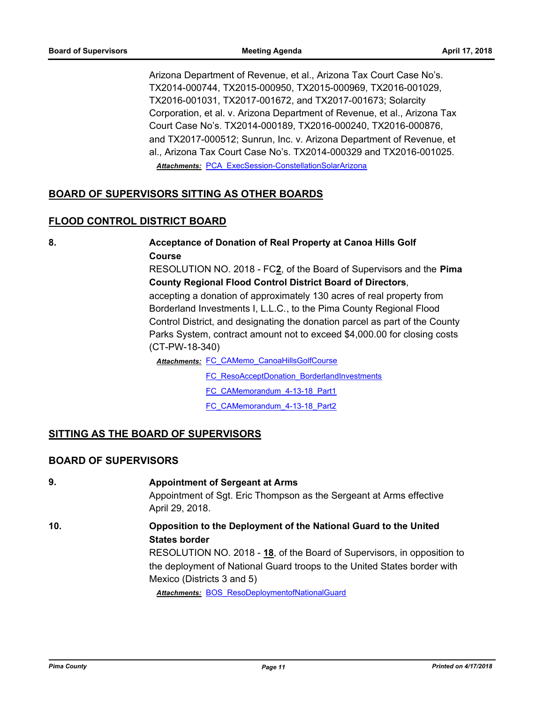Arizona Department of Revenue, et al., Arizona Tax Court Case No's. TX2014-000744, TX2015-000950, TX2015-000969, TX2016-001029, TX2016-001031, TX2017-001672, and TX2017-001673; Solarcity Corporation, et al. v. Arizona Department of Revenue, et al., Arizona Tax Court Case No's. TX2014-000189, TX2016-000240, TX2016-000876, and TX2017-000512; Sunrun, Inc. v. Arizona Department of Revenue, et al., Arizona Tax Court Case No's. TX2014-000329 and TX2016-001025. *Attachments:* [PCA\\_ExecSession-ConstellationSolarArizona](http://pima.legistar.com/gateway.aspx?M=F&ID=30d7b673-6d33-4673-a1ca-62daf329d742.pdf)

#### **BOARD OF SUPERVISORS SITTING AS OTHER BOARDS**

#### **FLOOD CONTROL DISTRICT BOARD**

**8. Acceptance of Donation of Real Property at Canoa Hills Golf Course** RESOLUTION NO. 2018 - FC**2**, of the Board of Supervisors and the **Pima County Regional Flood Control District Board of Directors**,

accepting a donation of approximately 130 acres of real property from Borderland Investments I, L.L.C., to the Pima County Regional Flood Control District, and designating the donation parcel as part of the County Parks System, contract amount not to exceed \$4,000.00 for closing costs (CT-PW-18-340)

Attachments: FC CAMemo CanoaHillsGolfCourse

- [FC\\_ResoAcceptDonation\\_BorderlandInvestments](http://pima.legistar.com/gateway.aspx?M=F&ID=9bce00a3-1751-4f5b-ab6c-fc717789ccf4.pdf)
- [FC\\_CAMemorandum\\_4-13-18\\_Part1](http://pima.legistar.com/gateway.aspx?M=F&ID=d5031119-0a94-4ea1-be12-88b0639bce0b.pdf)

[FC\\_CAMemorandum\\_4-13-18\\_Part2](http://pima.legistar.com/gateway.aspx?M=F&ID=42c4c5dc-1d9e-42ec-ba5b-d83ff73ec9cd.pdf)

#### **SITTING AS THE BOARD OF SUPERVISORS**

#### **BOARD OF SUPERVISORS**

**9. Appointment of Sergeant at Arms** Appointment of Sgt. Eric Thompson as the Sergeant at Arms effective April 29, 2018. **10. Opposition to the Deployment of the National Guard to the United States border** RESOLUTION NO. 2018 - **18**, of the Board of Supervisors, in opposition to the deployment of National Guard troops to the United States border with Mexico (Districts 3 and 5) *Attachments:* [BOS\\_ResoDeploymentofNationalGuard](http://pima.legistar.com/gateway.aspx?M=F&ID=f876eb62-6e82-4fb1-9b01-80693495c722.pdf)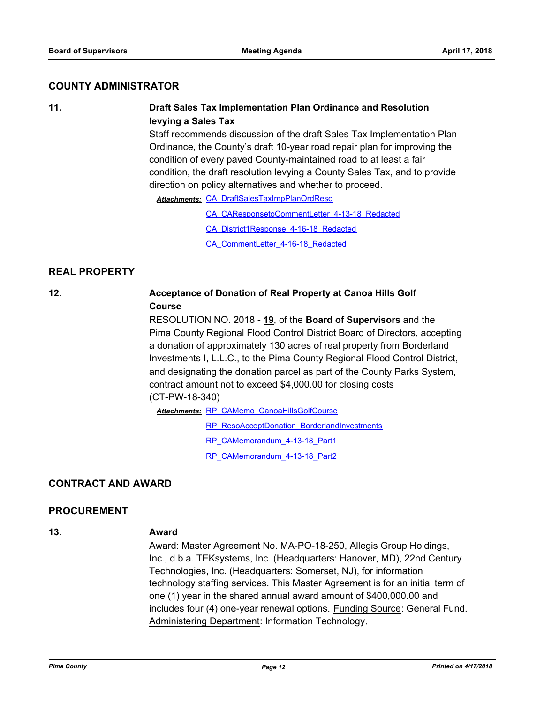#### **COUNTY ADMINISTRATOR**

#### **11. Draft Sales Tax Implementation Plan Ordinance and Resolution levying a Sales Tax**

Staff recommends discussion of the draft Sales Tax Implementation Plan Ordinance, the County's draft 10-year road repair plan for improving the condition of every paved County-maintained road to at least a fair condition, the draft resolution levying a County Sales Tax, and to provide direction on policy alternatives and whether to proceed.

Attachments: CA DraftSalesTaxImpPlanOrdReso

[CA\\_CAResponsetoCommentLetter\\_4-13-18\\_Redacted](http://pima.legistar.com/gateway.aspx?M=F&ID=539db9f9-66eb-4bfb-80ac-0b9dad77615b.pdf)

[CA\\_District1Response\\_4-16-18\\_Redacted](http://pima.legistar.com/gateway.aspx?M=F&ID=f2c0e56d-3685-432b-a1bb-c6d013411b52.pdf)

[CA\\_CommentLetter\\_4-16-18\\_Redacted](http://pima.legistar.com/gateway.aspx?M=F&ID=b6cddeee-82c5-455b-b28c-2596c818e3d1.pdf)

#### **REAL PROPERTY**

#### **12. Acceptance of Donation of Real Property at Canoa Hills Golf Course**

RESOLUTION NO. 2018 - **19**, of the **Board of Supervisors** and the Pima County Regional Flood Control District Board of Directors, accepting a donation of approximately 130 acres of real property from Borderland Investments I, L.L.C., to the Pima County Regional Flood Control District, and designating the donation parcel as part of the County Parks System, contract amount not to exceed \$4,000.00 for closing costs (CT-PW-18-340)

**Attachments: RP CAMemo CanoaHillsGolfCourse** 

[RP\\_ResoAcceptDonation\\_BorderlandInvestments](http://pima.legistar.com/gateway.aspx?M=F&ID=25c31c0c-14a6-4d5c-be89-488e60fb5c54.pdf)

[RP\\_CAMemorandum\\_4-13-18\\_Part1](http://pima.legistar.com/gateway.aspx?M=F&ID=16cbe1ac-a535-410d-a3b7-fe9ac50432e6.pdf)

[RP\\_CAMemorandum\\_4-13-18\\_Part2](http://pima.legistar.com/gateway.aspx?M=F&ID=17d9f1d2-b395-46bb-bdce-1b02e4c31eea.pdf)

#### **CONTRACT AND AWARD**

#### **PROCUREMENT**

#### **13. Award**

Award: Master Agreement No. MA-PO-18-250, Allegis Group Holdings, Inc., d.b.a. TEKsystems, Inc. (Headquarters: Hanover, MD), 22nd Century Technologies, Inc. (Headquarters: Somerset, NJ), for information technology staffing services. This Master Agreement is for an initial term of one (1) year in the shared annual award amount of \$400,000.00 and includes four (4) one-year renewal options. Funding Source: General Fund. Administering Department: Information Technology.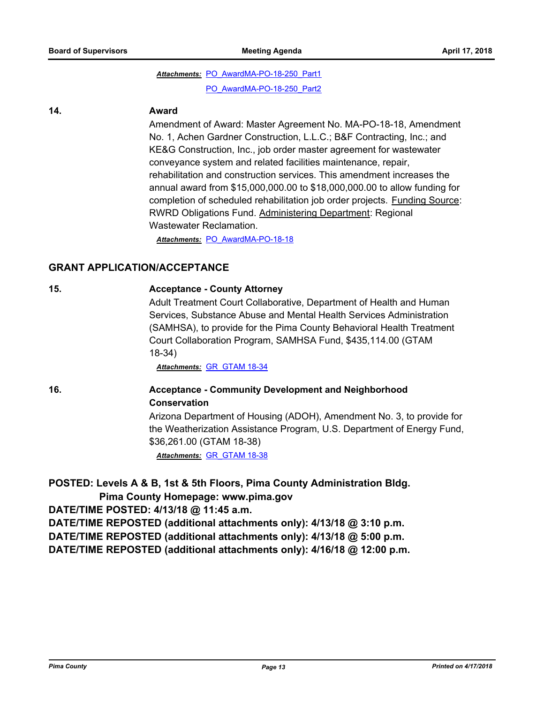### Attachments: PO AwardMA-PO-18-250 Part1 [PO\\_AwardMA-PO-18-250\\_Part2](http://pima.legistar.com/gateway.aspx?M=F&ID=668878da-3f07-499d-8a52-d5f65d595dc0.pdf)

#### **14. Award**

Amendment of Award: Master Agreement No. MA-PO-18-18, Amendment No. 1, Achen Gardner Construction, L.L.C.; B&F Contracting, Inc.; and KE&G Construction, Inc., job order master agreement for wastewater conveyance system and related facilities maintenance, repair, rehabilitation and construction services. This amendment increases the annual award from \$15,000,000.00 to \$18,000,000.00 to allow funding for completion of scheduled rehabilitation job order projects. Funding Source: RWRD Obligations Fund. Administering Department: Regional Wastewater Reclamation.

*Attachments:* [PO\\_AwardMA-PO-18-18](http://pima.legistar.com/gateway.aspx?M=F&ID=c37573c9-a837-43f5-8964-ef3fdb330084.pdf)

#### **GRANT APPLICATION/ACCEPTANCE**

#### **15. Acceptance - County Attorney**

Adult Treatment Court Collaborative, Department of Health and Human Services, Substance Abuse and Mental Health Services Administration (SAMHSA), to provide for the Pima County Behavioral Health Treatment Court Collaboration Program, SAMHSA Fund, \$435,114.00 (GTAM 18-34)

*Attachments:* [GR\\_GTAM 18-34](http://pima.legistar.com/gateway.aspx?M=F&ID=d5a7fa1b-3de1-4b20-93e0-c7cb57fd1310.pdf)

#### **16. Acceptance - Community Development and Neighborhood Conservation**

Arizona Department of Housing (ADOH), Amendment No. 3, to provide for the Weatherization Assistance Program, U.S. Department of Energy Fund, \$36,261.00 (GTAM 18-38)

*Attachments:* [GR\\_GTAM 18-38](http://pima.legistar.com/gateway.aspx?M=F&ID=e5d8f5d1-82f8-401c-ad5e-5b7446ae0cff.pdf)

#### **POSTED: Levels A & B, 1st & 5th Floors, Pima County Administration Bldg.**

 **Pima County Homepage: www.pima.gov**

**DATE/TIME POSTED: 4/13/18 @ 11:45 a.m.**

**DATE/TIME REPOSTED (additional attachments only): 4/13/18 @ 3:10 p.m.**

**DATE/TIME REPOSTED (additional attachments only): 4/13/18 @ 5:00 p.m.**

**DATE/TIME REPOSTED (additional attachments only): 4/16/18 @ 12:00 p.m.**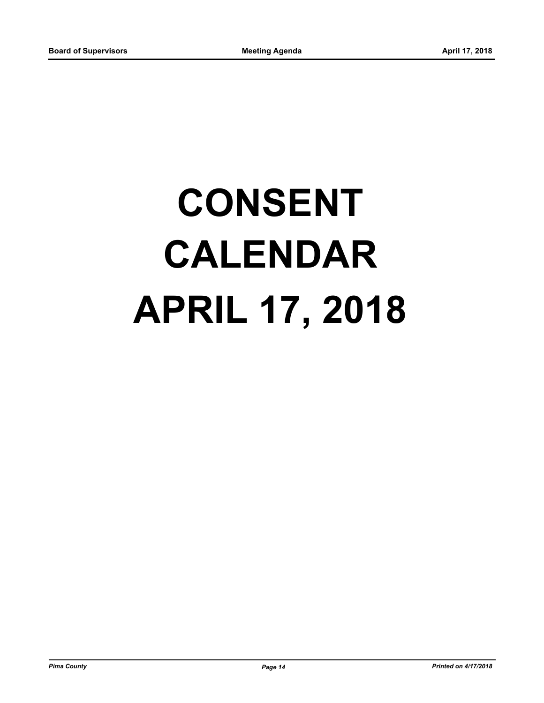# **CONSENT CALENDAR APRIL 17, 2018**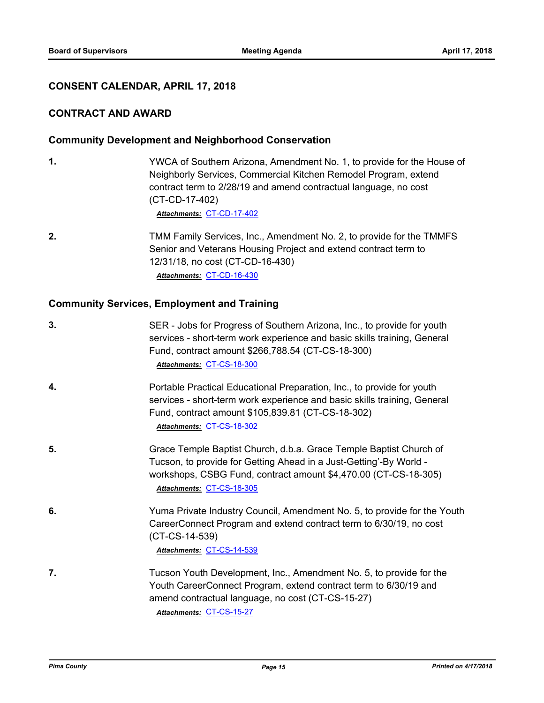#### **CONSENT CALENDAR, APRIL 17, 2018**

#### **CONTRACT AND AWARD**

#### **Community Development and Neighborhood Conservation**

**1.** YWCA of Southern Arizona, Amendment No. 1, to provide for the House of Neighborly Services, Commercial Kitchen Remodel Program, extend contract term to 2/28/19 and amend contractual language, no cost (CT-CD-17-402)

*Attachments:* [CT-CD-17-402](http://pima.legistar.com/gateway.aspx?M=F&ID=63f9f83f-9412-4160-a765-37700e50ae0e.pdf)

**2.** TMM Family Services, Inc., Amendment No. 2, to provide for the TMMFS Senior and Veterans Housing Project and extend contract term to 12/31/18, no cost (CT-CD-16-430) *Attachments:* [CT-CD-16-430](http://pima.legistar.com/gateway.aspx?M=F&ID=a60e08c7-07f1-4075-9961-a52da721028b.pdf)

#### **Community Services, Employment and Training**

| 3. | SER - Jobs for Progress of Southern Arizona, Inc., to provide for youth<br>services - short-term work experience and basic skills training, General<br>Fund, contract amount \$266,788.54 (CT-CS-18-300)<br>Attachments: CT-CS-18-300    |
|----|------------------------------------------------------------------------------------------------------------------------------------------------------------------------------------------------------------------------------------------|
| 4. | Portable Practical Educational Preparation, Inc., to provide for youth<br>services - short-term work experience and basic skills training, General<br>Fund, contract amount \$105,839.81 (CT-CS-18-302)<br>Attachments: CT-CS-18-302     |
| 5. | Grace Temple Baptist Church, d.b.a. Grace Temple Baptist Church of<br>Tucson, to provide for Getting Ahead in a Just-Getting'-By World -<br>workshops, CSBG Fund, contract amount \$4,470.00 (CT-CS-18-305)<br>Attachments: CT-CS-18-305 |
| 6. | Yuma Private Industry Council, Amendment No. 5, to provide for the Youth<br>CareerConnect Program and extend contract term to 6/30/19, no cost<br>$(CT-CS-14-539)$<br>Attachments: CT-CS-14-539                                          |
| 7. | Tucson Youth Development, Inc., Amendment No. 5, to provide for the<br>Youth CareerConnect Program, extend contract term to 6/30/19 and<br>amend contractual language, no cost (CT-CS-15-27)<br>Attachments: CT-CS-15-27                 |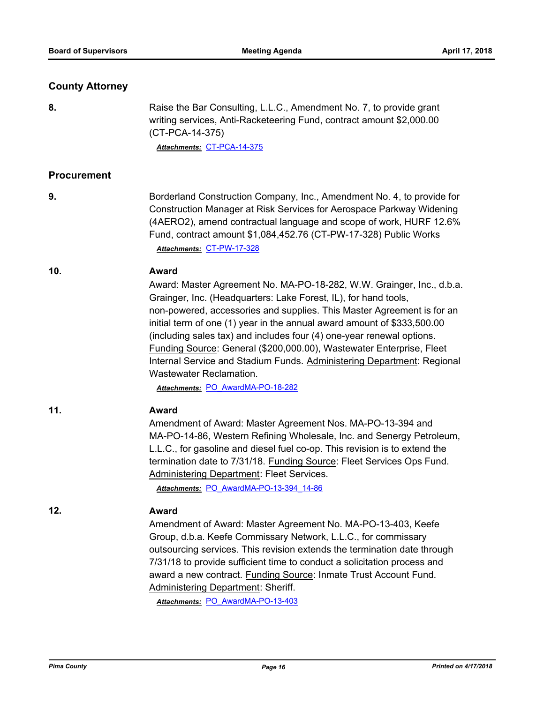#### **County Attorney**

**8.** Raise the Bar Consulting, L.L.C., Amendment No. 7, to provide grant writing services, Anti-Racketeering Fund, contract amount \$2,000.00 (CT-PCA-14-375)

*Attachments:* [CT-PCA-14-375](http://pima.legistar.com/gateway.aspx?M=F&ID=6903237c-9d87-40c0-a78d-4985c9d344f4.pdf)

#### **Procurement**

**9.** Borderland Construction Company, Inc., Amendment No. 4, to provide for Construction Manager at Risk Services for Aerospace Parkway Widening (4AERO2), amend contractual language and scope of work, HURF 12.6% Fund, contract amount \$1,084,452.76 (CT-PW-17-328) Public Works *Attachments:* [CT-PW-17-328](http://pima.legistar.com/gateway.aspx?M=F&ID=f403bd7f-d532-4cdf-8968-53b29534b348.pdf)

#### **10. Award**

Award: Master Agreement No. MA-PO-18-282, W.W. Grainger, Inc., d.b.a. Grainger, Inc. (Headquarters: Lake Forest, IL), for hand tools, non-powered, accessories and supplies. This Master Agreement is for an initial term of one (1) year in the annual award amount of \$333,500.00 (including sales tax) and includes four (4) one-year renewal options. Funding Source: General (\$200,000.00), Wastewater Enterprise, Fleet Internal Service and Stadium Funds. Administering Department: Regional Wastewater Reclamation.

*Attachments:* [PO\\_AwardMA-PO-18-282](http://pima.legistar.com/gateway.aspx?M=F&ID=30a87517-98a2-4040-9977-07b88a400d70.pdf)

#### **11. Award**

Amendment of Award: Master Agreement Nos. MA-PO-13-394 and MA-PO-14-86, Western Refining Wholesale, Inc. and Senergy Petroleum, L.L.C., for gasoline and diesel fuel co-op. This revision is to extend the termination date to 7/31/18. Funding Source: Fleet Services Ops Fund. Administering Department: Fleet Services.

*Attachments:* [PO\\_AwardMA-PO-13-394\\_14-86](http://pima.legistar.com/gateway.aspx?M=F&ID=13cc5606-669d-4b08-8df7-83826d0e45f1.pdf)

#### **12. Award**

Amendment of Award: Master Agreement No. MA-PO-13-403, Keefe Group, d.b.a. Keefe Commissary Network, L.L.C., for commissary outsourcing services. This revision extends the termination date through 7/31/18 to provide sufficient time to conduct a solicitation process and award a new contract. Funding Source: Inmate Trust Account Fund. Administering Department: Sheriff.

*Attachments:* [PO\\_AwardMA-PO-13-403](http://pima.legistar.com/gateway.aspx?M=F&ID=4852c065-35ad-496c-b112-5ab60e05d578.pdf)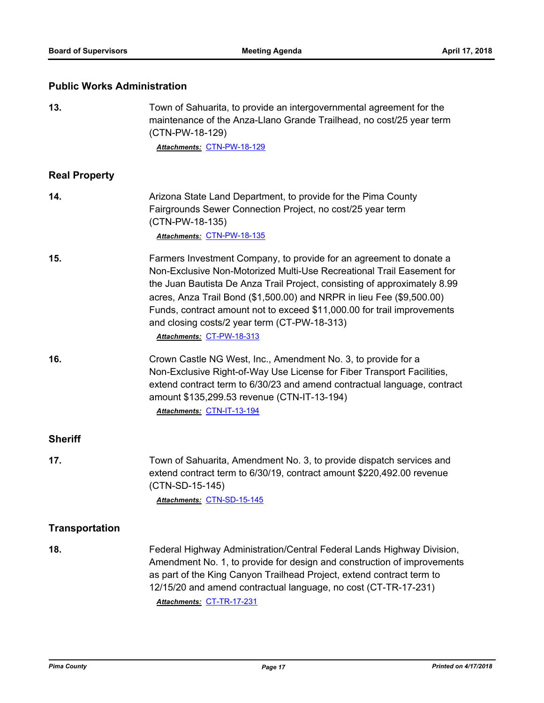### **Public Works Administration**

| 13.                   | Town of Sahuarita, to provide an intergovernmental agreement for the<br>maintenance of the Anza-Llano Grande Trailhead, no cost/25 year term<br>(CTN-PW-18-129)<br>Attachments: CTN-PW-18-129                                                                                                                                                                                                                                                              |
|-----------------------|------------------------------------------------------------------------------------------------------------------------------------------------------------------------------------------------------------------------------------------------------------------------------------------------------------------------------------------------------------------------------------------------------------------------------------------------------------|
|                       |                                                                                                                                                                                                                                                                                                                                                                                                                                                            |
| <b>Real Property</b>  |                                                                                                                                                                                                                                                                                                                                                                                                                                                            |
| 14.                   | Arizona State Land Department, to provide for the Pima County<br>Fairgrounds Sewer Connection Project, no cost/25 year term<br>(CTN-PW-18-135)<br>Attachments: CTN-PW-18-135                                                                                                                                                                                                                                                                               |
| 15.                   | Farmers Investment Company, to provide for an agreement to donate a<br>Non-Exclusive Non-Motorized Multi-Use Recreational Trail Easement for<br>the Juan Bautista De Anza Trail Project, consisting of approximately 8.99<br>acres, Anza Trail Bond (\$1,500.00) and NRPR in lieu Fee (\$9,500.00)<br>Funds, contract amount not to exceed \$11,000.00 for trail improvements<br>and closing costs/2 year term (CT-PW-18-313)<br>Attachments: CT-PW-18-313 |
| 16.                   | Crown Castle NG West, Inc., Amendment No. 3, to provide for a<br>Non-Exclusive Right-of-Way Use License for Fiber Transport Facilities,<br>extend contract term to 6/30/23 and amend contractual language, contract<br>amount \$135,299.53 revenue (CTN-IT-13-194)<br>Attachments: CTN-IT-13-194                                                                                                                                                           |
| <b>Sheriff</b>        |                                                                                                                                                                                                                                                                                                                                                                                                                                                            |
| 17.                   | Town of Sahuarita, Amendment No. 3, to provide dispatch services and<br>extend contract term to 6/30/19, contract amount \$220,492.00 revenue<br>(CTN-SD-15-145)<br>Attachments: CTN-SD-15-145                                                                                                                                                                                                                                                             |
| <b>Transportation</b> |                                                                                                                                                                                                                                                                                                                                                                                                                                                            |
| 18.                   | Federal Highway Administration/Central Federal Lands Highway Division,<br>Amendment No. 1, to provide for design and construction of improvements<br>as part of the King Canyon Trailhead Project, extend contract term to<br>12/15/20 and amend contractual language, no cost (CT-TR-17-231)<br>Attachments: CT-TR-17-231                                                                                                                                 |